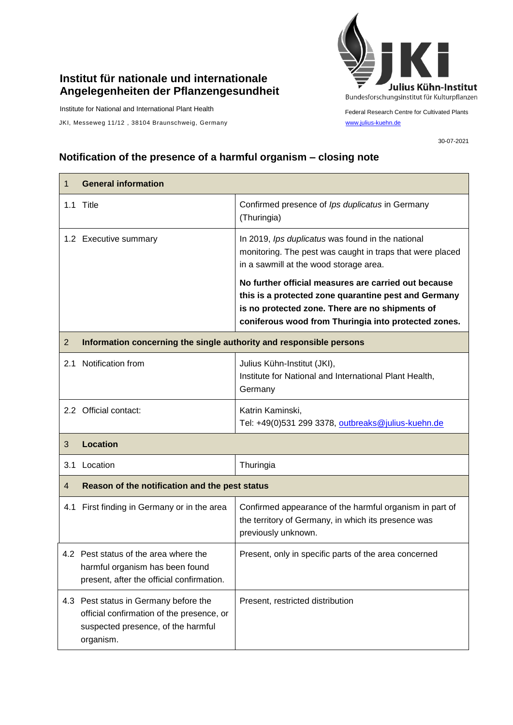## **Institut für nationale und internationale Angelegenheiten der Pflanzengesundheit**

Institute for National and International Plant Health

JKI, Messeweg 11/12, 38104 Braunschweig, Germany [www.julius-kuehn.de](http://www.julius-kuehn.de/)



Federal Research Centre for Cultivated Plants

30-07-2021

## **Notification of the presence of a harmful organism – closing note**

| 1              | <b>General information</b>                                                                                                            |                                                                                                                                                                                                                         |  |
|----------------|---------------------------------------------------------------------------------------------------------------------------------------|-------------------------------------------------------------------------------------------------------------------------------------------------------------------------------------------------------------------------|--|
|                | 1.1 Title                                                                                                                             | Confirmed presence of Ips duplicatus in Germany<br>(Thuringia)                                                                                                                                                          |  |
|                | 1.2 Executive summary                                                                                                                 | In 2019, Ips duplicatus was found in the national<br>monitoring. The pest was caught in traps that were placed<br>in a sawmill at the wood storage area.                                                                |  |
|                |                                                                                                                                       | No further official measures are carried out because<br>this is a protected zone quarantine pest and Germany<br>is no protected zone. There are no shipments of<br>coniferous wood from Thuringia into protected zones. |  |
| $\overline{2}$ | Information concerning the single authority and responsible persons                                                                   |                                                                                                                                                                                                                         |  |
|                | 2.1 Notification from                                                                                                                 | Julius Kühn-Institut (JKI),<br>Institute for National and International Plant Health,<br>Germany                                                                                                                        |  |
|                | 2.2 Official contact:                                                                                                                 | Katrin Kaminski,<br>Tel: +49(0)531 299 3378, outbreaks@julius-kuehn.de                                                                                                                                                  |  |
| 3              | <b>Location</b>                                                                                                                       |                                                                                                                                                                                                                         |  |
| 3.1            | Location                                                                                                                              | Thuringia                                                                                                                                                                                                               |  |
| $\overline{4}$ | Reason of the notification and the pest status                                                                                        |                                                                                                                                                                                                                         |  |
|                | 4.1 First finding in Germany or in the area                                                                                           | Confirmed appearance of the harmful organism in part of<br>the territory of Germany, in which its presence was<br>previously unknown.                                                                                   |  |
|                | 4.2 Pest status of the area where the<br>harmful organism has been found<br>present, after the official confirmation.                 | Present, only in specific parts of the area concerned                                                                                                                                                                   |  |
|                | 4.3 Pest status in Germany before the<br>official confirmation of the presence, or<br>suspected presence, of the harmful<br>organism. | Present, restricted distribution                                                                                                                                                                                        |  |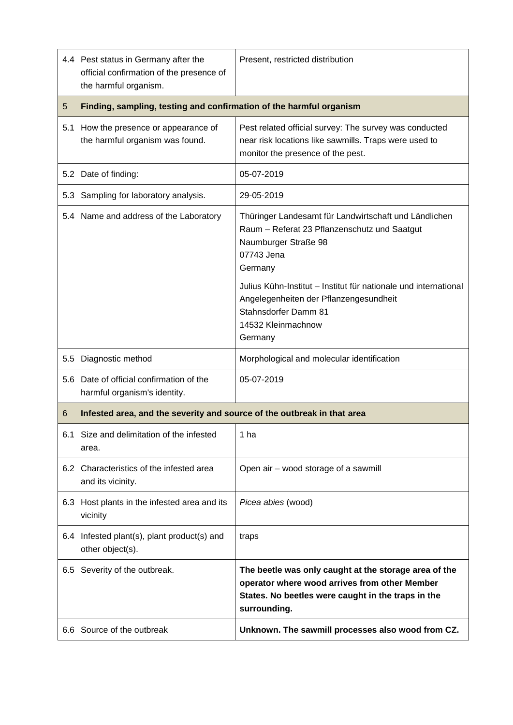|     | 4.4 Pest status in Germany after the<br>official confirmation of the presence of<br>the harmful organism. | Present, restricted distribution                                                                                                                                                                                                                                                                                  |  |
|-----|-----------------------------------------------------------------------------------------------------------|-------------------------------------------------------------------------------------------------------------------------------------------------------------------------------------------------------------------------------------------------------------------------------------------------------------------|--|
| 5   | Finding, sampling, testing and confirmation of the harmful organism                                       |                                                                                                                                                                                                                                                                                                                   |  |
| 5.1 | How the presence or appearance of<br>the harmful organism was found.                                      | Pest related official survey: The survey was conducted<br>near risk locations like sawmills. Traps were used to<br>monitor the presence of the pest.                                                                                                                                                              |  |
|     | 5.2 Date of finding:                                                                                      | 05-07-2019                                                                                                                                                                                                                                                                                                        |  |
|     | 5.3 Sampling for laboratory analysis.                                                                     | 29-05-2019                                                                                                                                                                                                                                                                                                        |  |
|     | 5.4 Name and address of the Laboratory                                                                    | Thüringer Landesamt für Landwirtschaft und Ländlichen<br>Raum - Referat 23 Pflanzenschutz und Saatgut<br>Naumburger Straße 98<br>07743 Jena<br>Germany<br>Julius Kühn-Institut - Institut für nationale und international<br>Angelegenheiten der Pflanzengesundheit<br>Stahnsdorfer Damm 81<br>14532 Kleinmachnow |  |
|     |                                                                                                           | Germany                                                                                                                                                                                                                                                                                                           |  |
| 5.5 | Diagnostic method                                                                                         | Morphological and molecular identification                                                                                                                                                                                                                                                                        |  |
| 5.6 | Date of official confirmation of the<br>harmful organism's identity.                                      | 05-07-2019                                                                                                                                                                                                                                                                                                        |  |
| 6   | Infested area, and the severity and source of the outbreak in that area                                   |                                                                                                                                                                                                                                                                                                                   |  |
| 6.1 | Size and delimitation of the infested<br>area.                                                            | 1 ha                                                                                                                                                                                                                                                                                                              |  |
|     | 6.2 Characteristics of the infested area<br>and its vicinity.                                             | Open air - wood storage of a sawmill                                                                                                                                                                                                                                                                              |  |
|     | 6.3 Host plants in the infested area and its<br>vicinity                                                  | Picea abies (wood)                                                                                                                                                                                                                                                                                                |  |
|     | 6.4 Infested plant(s), plant product(s) and<br>other object(s).                                           | traps                                                                                                                                                                                                                                                                                                             |  |
|     | 6.5 Severity of the outbreak.                                                                             | The beetle was only caught at the storage area of the<br>operator where wood arrives from other Member<br>States. No beetles were caught in the traps in the<br>surrounding.                                                                                                                                      |  |
|     | 6.6 Source of the outbreak                                                                                | Unknown. The sawmill processes also wood from CZ.                                                                                                                                                                                                                                                                 |  |